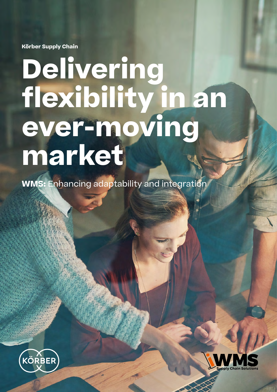**Körber Supply Chain**

# **Delivering flexibility in an ever-moving market**

**WMS:** Enhancing adaptability and integration



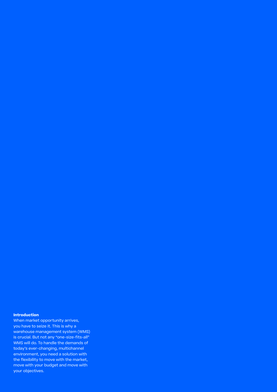#### **Introduction**

When market opportunity arrives, you have to seize it. This is why a warehouse management system (WMS) is crucial. But not any "one-size-fits-all" WMS will do. To handle the demands of today's ever-changing, multichannel environment, you need a solution with the flexibility to move with the market, move with your budget and move with your objectives.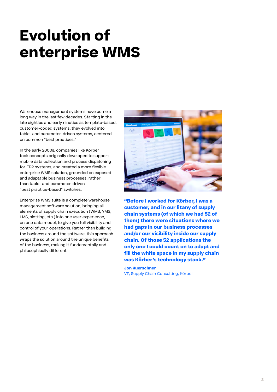## **Evolution of enterprise WMS**

Warehouse management systems have come a long way in the last few decades. Starting in the late eighties and early nineties as template-based, customer-coded systems, they evolved into table- and parameter-driven systems, centered on common "best practices."

In the early 2000s, companies like Körber took concepts originally developed to support mobile data collection and process dispatching for ERP systems, and created a more flexible enterprise WMS solution, grounded on exposed and adaptable business processes, rather than table- and parameter-driven "best practice-based" switches.

Enterprise WMS suite is a complete warehouse management software solution, bringing all elements of supply chain execution (WMS, YMS, LMS, slotting, etc.) into one user experience, on one data model, to give you full visibility and control of your operations. Rather than building the business around the software, this approach wraps the solution around the unique benefits of the business, making it fundamentally and philosophically different.



**"Before I worked for Körber, I was a customer, and in our litany of supply chain systems (of which we had 52 of them) there were situations where we had gaps in our business processes and/or our visibility inside our supply chain. Of those 52 applications the only one I could count on to adapt and fill the white space in my supply chain was Körber's technology stack."**

**Jon Kuerschner** VP, Supply Chain Consulting, Körber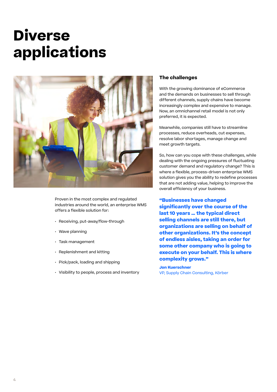### **Diverse applications**



Proven in the most complex and regulated industries around the world, an enterprise WMS offers a flexible solution for:

- Receiving, put-away/flow-through
- Wave planning
- Task management
- Replenishment and kitting
- Pick/pack, loading and shipping
- Visibility to people, process and inventory

#### **The challenges**

With the growing dominance of eCommerce and the demands on businesses to sell through different channels, supply chains have become increasingly complex and expensive to manage. Now, an omnichannel retail model is not only preferred, it is expected.

Meanwhile, companies still have to streamline processes, reduce overheads, cut expenses, resolve labor shortages, manage change and meet growth targets.

So, how can you cope with these challenges, while dealing with the ongoing pressures of fluctuating customer demand and regulatory change? This is where a flexible, process-driven enterprise WMS solution gives you the ability to redefine processes that are not adding value, helping to improve the overall efficiency of your business.

**"Businesses have changed significantly over the course of the last 10 years … the typical direct selling channels are still there, but organizations are selling on behalf of other organizations. It's the concept of endless aisles, taking an order for some other company who is going to execute on your behalf. This is where complexity grows."**

**Jon Kuerschner** VP, Supply Chain Consulting, Körber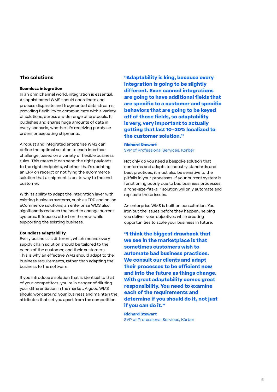#### **The solutions**

#### **Seamless integration**

In an omnichannel world, integration is essential. A sophisticated WMS should coordinate and process disparate and fragmented data streams, providing flexibility to communicate with a variety of solutions, across a wide range of protocols. It publishes and shares huge amounts of data in every scenario, whether it's receiving purchase orders or executing shipments.

A robust and integrated enterprise WMS can define the optimal solution to each interface challenge, based on a variety of flexible business rules. This means it can send the right payloads to the right endpoints, whether that's updating an ERP on receipt or notifying the eCommerce solution that a shipment is on its way to the end customer.

With its ability to adapt the integration layer with existing business systems, such as ERP and online eCommerce solutions, an enterprise WMS also significantly reduces the need to change current systems. It focuses effort on the new, while supporting the existing business.

#### **Boundless adaptability**

Every business is different, which means every supply chain solution should be tailored to the needs of the customer, and their customers. This is why an effective WMS should adapt to the business requirements, rather than adapting the business to the software.

If you introduce a solution that is identical to that of your competitors, you're in danger of diluting your differentiation in the market. A good WMS should work around your business and maintain the attributes that set you apart from the competition.

**"Adaptability is king, because every integration is going to be slightly different. Even canned integrations are going to have additional fields that are specific to a customer and specific behaviors that are going to be keyed off of those fields, so adaptability is very, very important to actually getting that last 10–20% localized to the customer solution."**

#### **Richard Stewart** SVP of Professional Services, Körber

Not only do you need a bespoke solution that conforms and adapts to industry standards and best practices, it must also be sensitive to the pitfalls in your processes. If your current system is functioning poorly due to bad business processes, a "one-size-fits-all" solution will only automate and replicate those issues.

An enterprise WMS is built on consultation. You iron out the issues before they happen, helping you deliver your objectives while creating opportunities to scale your business in future.

**"I think the biggest drawback that we see in the marketplace is that sometimes customers wish to automate bad business practices. We consult our clients and adapt their processes to be efficient now and into the future as things change. With great adaptability comes great responsibility. You need to examine each of the requirements and determine if you should do it, not just if you can do it."**

**Richard Stewart** SVP of Professional Services, Körber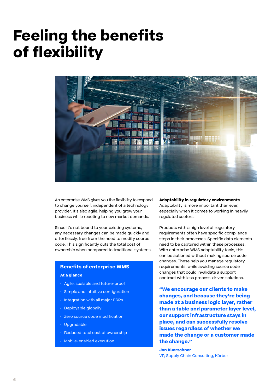### **Feeling the benefits of flexibility**



An enterprise WMS gives you the flexibility to respond to change yourself, independent of a technology provider. It's also agile, helping you grow your business while reacting to new market demands.

Since it's not bound to your existing systems, any necessary changes can be made quickly and effortlessly, free from the need to modify source code. This significantly cuts the total cost of ownership when compared to traditional systems.

#### **Benefits of enterprise WMS**

#### **At a glance**

- Agile, scalable and future-proof
- Simple and intuitive configuration
- Integration with all major ERPs
- Deployable globally
- Zero source code modification
- Upgradable
- Reduced total cost of ownership
- Mobile-enabled execution

**Adaptability in regulatory environments** Adaptability is more important than ever, especially when it comes to working in heavily regulated sectors.

Products with a high level of regulatory requirements often have specific compliance steps in their processes. Specific data elements need to be captured within these processes. With enterprise WMS adaptability tools, this can be actioned without making source code changes. These help you manage regulatory requirements, while avoiding source code changes that could invalidate a support contract with less process-driven solutions.

**"We encourage our clients to make changes, and because they're being made at a business logic layer, rather than a table and parameter layer level, our support infrastructure stays in place, and can successfully resolve issues regardless of whether we made the change or a customer made the change."**

**Jon Kuerschner** VP, Supply Chain Consulting, Körber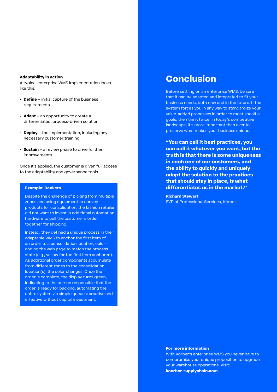#### **Adaptability in action**

A typical enterprise WMS implementation looks like this:

- **Define** initial capture of the business requirements
- **Adapt** an opportunity to create a differentiated, process-driven solution
- **Deploy** the implementation, including any necessary customer training
- **Sustain** a review phase to drive further improvements

Once it's applied, the customer is given full access to the adaptability and governance tools.

#### **Example: Deckers**

Despite the challenge of picking from multiple zones and using equipment to convey products for consolidation, the fashion retailer did not want to invest in additional automation hardware to pull the customer's order together for shipping.

Instead, they defined a unique process in their adaptable WMS to anchor the first item of an order to a consolidation location, colorcoding the web page to match the process state (e.g., yellow for the first item anchored). As additional order components accumulate from different zones to the consolidation location(s), the color changes. Once the order is complete, the display turns green, indicating to the person responsible that the order is ready for packing, automating the entire system via simple queues: creative and effective without capital investment.

### **Conclusion**

Before settling on an enterprise WMS, be sure that it can be adapted and integrated to fit your business needs, both now and in the future. If the system forces you in any way to standardize your value-added processes in order to meet specific goals, then think twice. In today's competitive landscape, it's more important than ever to preserve what makes your business unique.

**"You can call it best practices, you can call it whatever you want, but the truth is that there is some uniqueness in each one of our customers, and the ability to quickly and uniquely adapt the solution to the practices that should stay in place, is what differentiates us in the market."**

**Richard Stewart** SVP of Professional Services, Körber

#### **For more information**

With Körber's enterprise WMS you never have to compromise your unique proposition to upgrade your warehouse operations. Visit: **[koerber-supplychain.com](http://koerber-supplychain.com)**